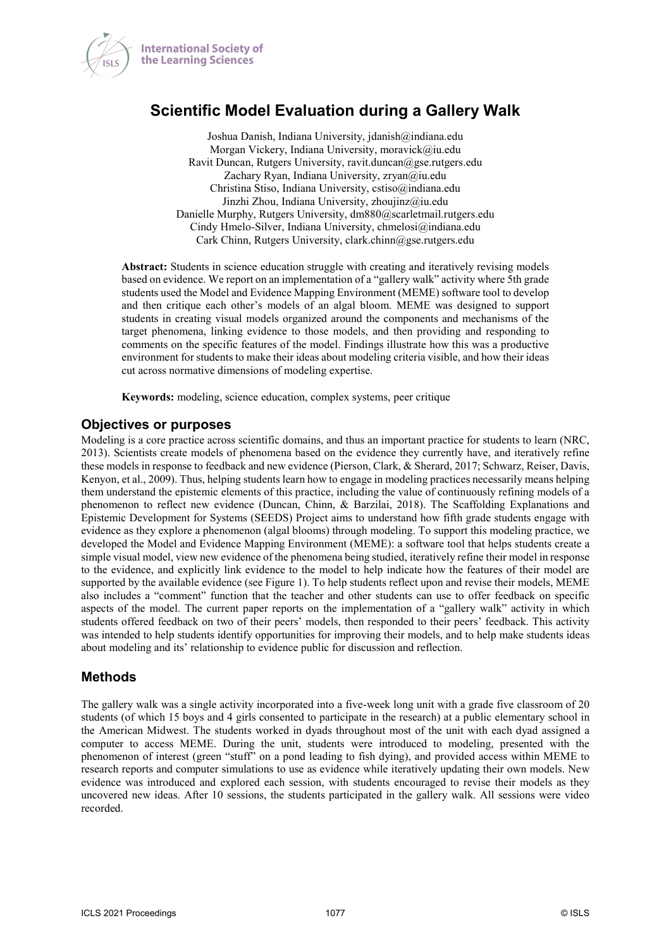

**International Society of** the Learning Sciences

# **Scientific Model Evaluation during a Gallery Walk**

Joshua Danish, Indiana University, jdanish@indiana.edu Morgan Vickery, Indiana University, moravick@iu.edu Ravit Duncan, Rutgers University, ravit.duncan@gse.rutgers.edu Zachary Ryan, Indiana University, zryan@iu.edu Christina Stiso, Indiana University, cstiso@indiana.edu Jinzhi Zhou, Indiana University, zhoujinz@iu.edu Danielle Murphy, Rutgers University, dm880@scarletmail.rutgers.edu Cindy Hmelo-Silver, Indiana University, chmelosi@indiana.edu Cark Chinn, Rutgers University, clark.chinn@gse.rutgers.edu

**Abstract:** Students in science education struggle with creating and iteratively revising models based on evidence. We report on an implementation of a "gallery walk" activity where 5th grade students used the Model and Evidence Mapping Environment (MEME) software tool to develop and then critique each other's models of an algal bloom. MEME was designed to support students in creating visual models organized around the components and mechanisms of the target phenomena, linking evidence to those models, and then providing and responding to comments on the specific features of the model. Findings illustrate how this was a productive environment for students to make their ideas about modeling criteria visible, and how their ideas cut across normative dimensions of modeling expertise.

**Keywords:** modeling, science education, complex systems, peer critique

## **Objectives or purposes**

Modeling is a core practice across scientific domains, and thus an important practice for students to learn (NRC, 2013). Scientists create models of phenomena based on the evidence they currently have, and iteratively refine these models in response to feedback and new evidence (Pierson, Clark, & Sherard, 2017; Schwarz, Reiser, Davis, Kenyon, et al., 2009). Thus, helping students learn how to engage in modeling practices necessarily means helping them understand the epistemic elements of this practice, including the value of continuously refining models of a phenomenon to reflect new evidence (Duncan, Chinn, & Barzilai, 2018). The Scaffolding Explanations and Epistemic Development for Systems (SEEDS) Project aims to understand how fifth grade students engage with evidence as they explore a phenomenon (algal blooms) through modeling. To support this modeling practice, we developed the Model and Evidence Mapping Environment (MEME): a software tool that helps students create a simple visual model, view new evidence of the phenomena being studied, iteratively refine their model in response to the evidence, and explicitly link evidence to the model to help indicate how the features of their model are supported by the available evidence (see Figure 1). To help students reflect upon and revise their models, MEME also includes a "comment" function that the teacher and other students can use to offer feedback on specific aspects of the model. The current paper reports on the implementation of a "gallery walk" activity in which students offered feedback on two of their peers' models, then responded to their peers' feedback. This activity was intended to help students identify opportunities for improving their models, and to help make students ideas about modeling and its' relationship to evidence public for discussion and reflection.

## **Methods**

The gallery walk was a single activity incorporated into a five-week long unit with a grade five classroom of 20 students (of which 15 boys and 4 girls consented to participate in the research) at a public elementary school in the American Midwest. The students worked in dyads throughout most of the unit with each dyad assigned a computer to access MEME. During the unit, students were introduced to modeling, presented with the phenomenon of interest (green "stuff" on a pond leading to fish dying), and provided access within MEME to research reports and computer simulations to use as evidence while iteratively updating their own models. New evidence was introduced and explored each session, with students encouraged to revise their models as they uncovered new ideas. After 10 sessions, the students participated in the gallery walk. All sessions were video recorded.